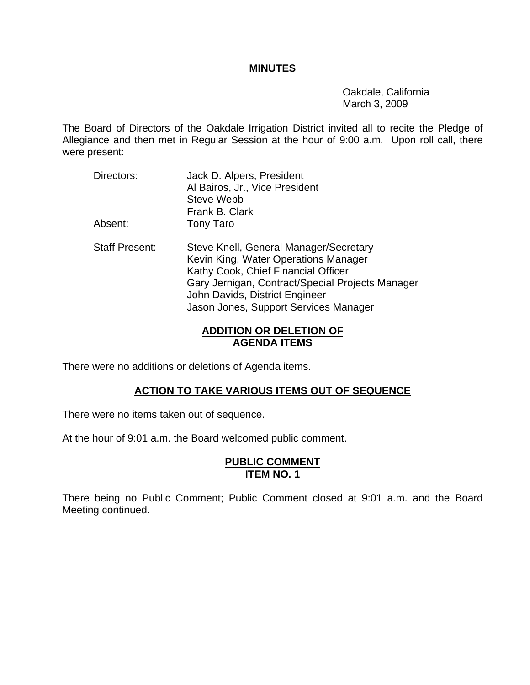#### **MINUTES**

 Oakdale, California March 3, 2009

The Board of Directors of the Oakdale Irrigation District invited all to recite the Pledge of Allegiance and then met in Regular Session at the hour of 9:00 a.m. Upon roll call, there were present:

- Directors: Jack D. Alpers, President Al Bairos, Jr., Vice President Steve Webb Frank B. Clark Absent: Tony Taro
- Staff Present: Steve Knell, General Manager/Secretary Kevin King, Water Operations Manager Kathy Cook, Chief Financial Officer Gary Jernigan, Contract/Special Projects Manager John Davids, District Engineer Jason Jones, Support Services Manager

# **ADDITION OR DELETION OF AGENDA ITEMS**

There were no additions or deletions of Agenda items.

# **ACTION TO TAKE VARIOUS ITEMS OUT OF SEQUENCE**

There were no items taken out of sequence.

At the hour of 9:01 a.m. the Board welcomed public comment.

## **PUBLIC COMMENT ITEM NO. 1**

There being no Public Comment; Public Comment closed at 9:01 a.m. and the Board Meeting continued.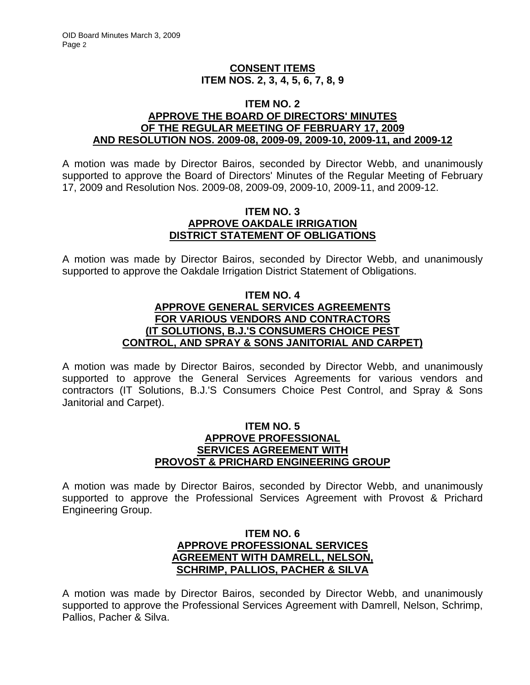#### **CONSENT ITEMS ITEM NOS. 2, 3, 4, 5, 6, 7, 8, 9**

#### **ITEM NO. 2 APPROVE THE BOARD OF DIRECTORS' MINUTES OF THE REGULAR MEETING OF FEBRUARY 17, 2009 AND RESOLUTION NOS. 2009-08, 2009-09, 2009-10, 2009-11, and 2009-12**

A motion was made by Director Bairos, seconded by Director Webb, and unanimously supported to approve the Board of Directors' Minutes of the Regular Meeting of February 17, 2009 and Resolution Nos. 2009-08, 2009-09, 2009-10, 2009-11, and 2009-12.

#### **ITEM NO. 3 APPROVE OAKDALE IRRIGATION DISTRICT STATEMENT OF OBLIGATIONS**

A motion was made by Director Bairos, seconded by Director Webb, and unanimously supported to approve the Oakdale Irrigation District Statement of Obligations.

## **ITEM NO. 4 APPROVE GENERAL SERVICES AGREEMENTS FOR VARIOUS VENDORS AND CONTRACTORS (IT SOLUTIONS, B.J.'S CONSUMERS CHOICE PEST CONTROL, AND SPRAY & SONS JANITORIAL AND CARPET)**

A motion was made by Director Bairos, seconded by Director Webb, and unanimously supported to approve the General Services Agreements for various vendors and contractors (IT Solutions, B.J.'S Consumers Choice Pest Control, and Spray & Sons Janitorial and Carpet).

#### **ITEM NO. 5 APPROVE PROFESSIONAL SERVICES AGREEMENT WITH PROVOST & PRICHARD ENGINEERING GROUP**

A motion was made by Director Bairos, seconded by Director Webb, and unanimously supported to approve the Professional Services Agreement with Provost & Prichard Engineering Group.

## **ITEM NO. 6 APPROVE PROFESSIONAL SERVICES AGREEMENT WITH DAMRELL, NELSON, SCHRIMP, PALLIOS, PACHER & SILVA**

A motion was made by Director Bairos, seconded by Director Webb, and unanimously supported to approve the Professional Services Agreement with Damrell, Nelson, Schrimp, Pallios, Pacher & Silva.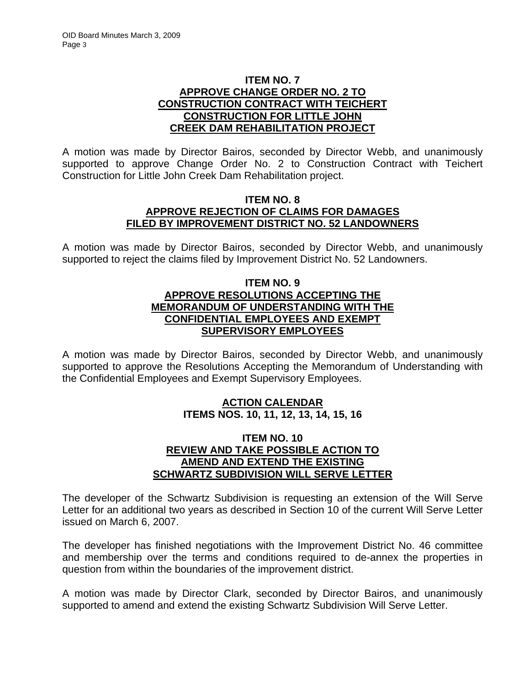# **ITEM NO. 7 APPROVE CHANGE ORDER NO. 2 TO CONSTRUCTION CONTRACT WITH TEICHERT CONSTRUCTION FOR LITTLE JOHN CREEK DAM REHABILITATION PROJECT**

A motion was made by Director Bairos, seconded by Director Webb, and unanimously supported to approve Change Order No. 2 to Construction Contract with Teichert Construction for Little John Creek Dam Rehabilitation project.

#### **ITEM NO. 8 APPROVE REJECTION OF CLAIMS FOR DAMAGES FILED BY IMPROVEMENT DISTRICT NO. 52 LANDOWNERS**

A motion was made by Director Bairos, seconded by Director Webb, and unanimously supported to reject the claims filed by Improvement District No. 52 Landowners.

# **ITEM NO. 9 APPROVE RESOLUTIONS ACCEPTING THE MEMORANDUM OF UNDERSTANDING WITH THE CONFIDENTIAL EMPLOYEES AND EXEMPT SUPERVISORY EMPLOYEES**

A motion was made by Director Bairos, seconded by Director Webb, and unanimously supported to approve the Resolutions Accepting the Memorandum of Understanding with the Confidential Employees and Exempt Supervisory Employees.

# **ACTION CALENDAR ITEMS NOS. 10, 11, 12, 13, 14, 15, 16**

# **ITEM NO. 10 REVIEW AND TAKE POSSIBLE ACTION TO AMEND AND EXTEND THE EXISTING SCHWARTZ SUBDIVISION WILL SERVE LETTER**

The developer of the Schwartz Subdivision is requesting an extension of the Will Serve Letter for an additional two years as described in Section 10 of the current Will Serve Letter issued on March 6, 2007.

The developer has finished negotiations with the Improvement District No. 46 committee and membership over the terms and conditions required to de-annex the properties in question from within the boundaries of the improvement district.

A motion was made by Director Clark, seconded by Director Bairos, and unanimously supported to amend and extend the existing Schwartz Subdivision Will Serve Letter.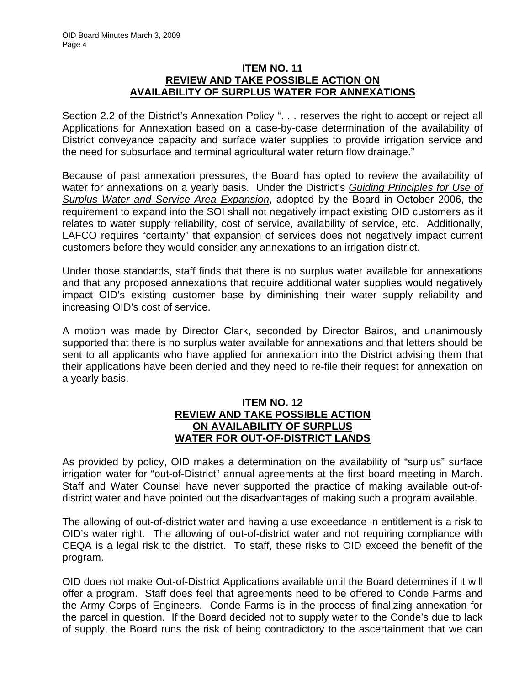#### **ITEM NO. 11 REVIEW AND TAKE POSSIBLE ACTION ON AVAILABILITY OF SURPLUS WATER FOR ANNEXATIONS**

Section 2.2 of the District's Annexation Policy ". . . reserves the right to accept or reject all Applications for Annexation based on a case-by-case determination of the availability of District conveyance capacity and surface water supplies to provide irrigation service and the need for subsurface and terminal agricultural water return flow drainage."

Because of past annexation pressures, the Board has opted to review the availability of water for annexations on a yearly basis. Under the District's *Guiding Principles for Use of Surplus Water and Service Area Expansion*, adopted by the Board in October 2006, the requirement to expand into the SOI shall not negatively impact existing OID customers as it relates to water supply reliability, cost of service, availability of service, etc. Additionally, LAFCO requires "certainty" that expansion of services does not negatively impact current customers before they would consider any annexations to an irrigation district.

Under those standards, staff finds that there is no surplus water available for annexations and that any proposed annexations that require additional water supplies would negatively impact OID's existing customer base by diminishing their water supply reliability and increasing OID's cost of service.

A motion was made by Director Clark, seconded by Director Bairos, and unanimously supported that there is no surplus water available for annexations and that letters should be sent to all applicants who have applied for annexation into the District advising them that their applications have been denied and they need to re-file their request for annexation on a yearly basis.

#### **ITEM NO. 12 REVIEW AND TAKE POSSIBLE ACTION ON AVAILABILITY OF SURPLUS WATER FOR OUT-OF-DISTRICT LANDS**

As provided by policy, OID makes a determination on the availability of "surplus" surface irrigation water for "out-of-District" annual agreements at the first board meeting in March. Staff and Water Counsel have never supported the practice of making available out-ofdistrict water and have pointed out the disadvantages of making such a program available.

The allowing of out-of-district water and having a use exceedance in entitlement is a risk to OID's water right. The allowing of out-of-district water and not requiring compliance with CEQA is a legal risk to the district. To staff, these risks to OID exceed the benefit of the program.

OID does not make Out-of-District Applications available until the Board determines if it will offer a program. Staff does feel that agreements need to be offered to Conde Farms and the Army Corps of Engineers. Conde Farms is in the process of finalizing annexation for the parcel in question. If the Board decided not to supply water to the Conde's due to lack of supply, the Board runs the risk of being contradictory to the ascertainment that we can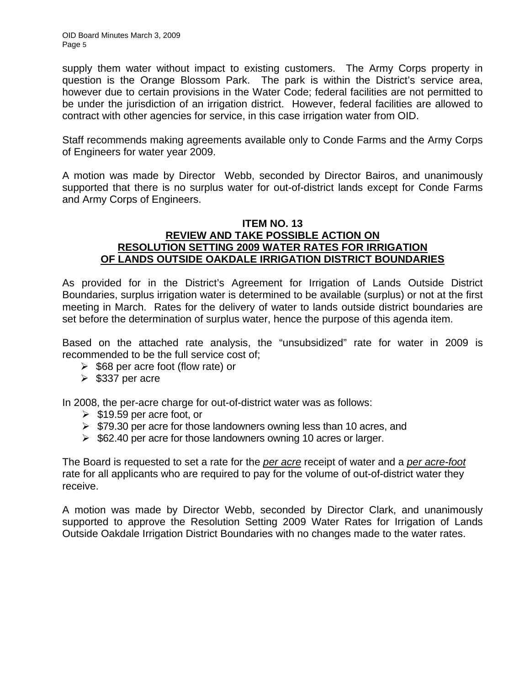supply them water without impact to existing customers. The Army Corps property in question is the Orange Blossom Park. The park is within the District's service area, however due to certain provisions in the Water Code; federal facilities are not permitted to be under the jurisdiction of an irrigation district. However, federal facilities are allowed to contract with other agencies for service, in this case irrigation water from OID.

Staff recommends making agreements available only to Conde Farms and the Army Corps of Engineers for water year 2009.

A motion was made by Director Webb, seconded by Director Bairos, and unanimously supported that there is no surplus water for out-of-district lands except for Conde Farms and Army Corps of Engineers.

#### **ITEM NO. 13 REVIEW AND TAKE POSSIBLE ACTION ON RESOLUTION SETTING 2009 WATER RATES FOR IRRIGATION OF LANDS OUTSIDE OAKDALE IRRIGATION DISTRICT BOUNDARIES**

As provided for in the District's Agreement for Irrigation of Lands Outside District Boundaries, surplus irrigation water is determined to be available (surplus) or not at the first meeting in March. Rates for the delivery of water to lands outside district boundaries are set before the determination of surplus water, hence the purpose of this agenda item.

Based on the attached rate analysis, the "unsubsidized" rate for water in 2009 is recommended to be the full service cost of;

- $\geq$  \$68 per acre foot (flow rate) or
- $\geqslant$  \$337 per acre

In 2008, the per-acre charge for out-of-district water was as follows:

- $\geq$  \$19.59 per acre foot, or
- $\triangleright$  \$79.30 per acre for those landowners owning less than 10 acres, and
- $\geq$  \$62.40 per acre for those landowners owning 10 acres or larger.

The Board is requested to set a rate for the *per acre* receipt of water and a *per acre-foot* rate for all applicants who are required to pay for the volume of out-of-district water they receive.

A motion was made by Director Webb, seconded by Director Clark, and unanimously supported to approve the Resolution Setting 2009 Water Rates for Irrigation of Lands Outside Oakdale Irrigation District Boundaries with no changes made to the water rates.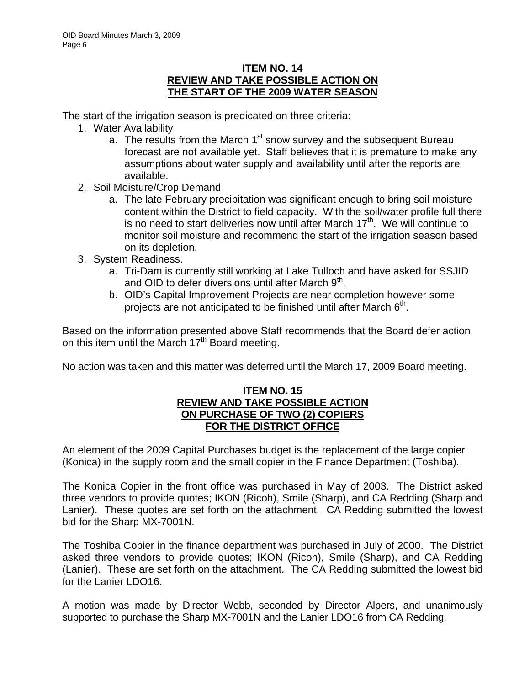#### **ITEM NO. 14 REVIEW AND TAKE POSSIBLE ACTION ON THE START OF THE 2009 WATER SEASON**

The start of the irrigation season is predicated on three criteria:

- 1. Water Availability
	- a. The results from the March  $1<sup>st</sup>$  snow survey and the subsequent Bureau forecast are not available yet. Staff believes that it is premature to make any assumptions about water supply and availability until after the reports are available.
- 2. Soil Moisture/Crop Demand
	- a. The late February precipitation was significant enough to bring soil moisture content within the District to field capacity. With the soil/water profile full there is no need to start deliveries now until after March  $17<sup>th</sup>$ . We will continue to monitor soil moisture and recommend the start of the irrigation season based on its depletion.
- 3. System Readiness.
	- a. Tri-Dam is currently still working at Lake Tulloch and have asked for SSJID and OID to defer diversions until after March  $9<sup>th</sup>$ .
	- b. OID's Capital Improvement Projects are near completion however some projects are not anticipated to be finished until after March  $6<sup>th</sup>$ .

Based on the information presented above Staff recommends that the Board defer action on this item until the March  $17<sup>th</sup>$  Board meeting.

No action was taken and this matter was deferred until the March 17, 2009 Board meeting.

#### **ITEM NO. 15 REVIEW AND TAKE POSSIBLE ACTION ON PURCHASE OF TWO (2) COPIERS FOR THE DISTRICT OFFICE**

An element of the 2009 Capital Purchases budget is the replacement of the large copier (Konica) in the supply room and the small copier in the Finance Department (Toshiba).

The Konica Copier in the front office was purchased in May of 2003. The District asked three vendors to provide quotes; IKON (Ricoh), Smile (Sharp), and CA Redding (Sharp and Lanier). These quotes are set forth on the attachment. CA Redding submitted the lowest bid for the Sharp MX-7001N.

The Toshiba Copier in the finance department was purchased in July of 2000. The District asked three vendors to provide quotes; IKON (Ricoh), Smile (Sharp), and CA Redding (Lanier). These are set forth on the attachment. The CA Redding submitted the lowest bid for the Lanier LDO16.

A motion was made by Director Webb, seconded by Director Alpers, and unanimously supported to purchase the Sharp MX-7001N and the Lanier LDO16 from CA Redding.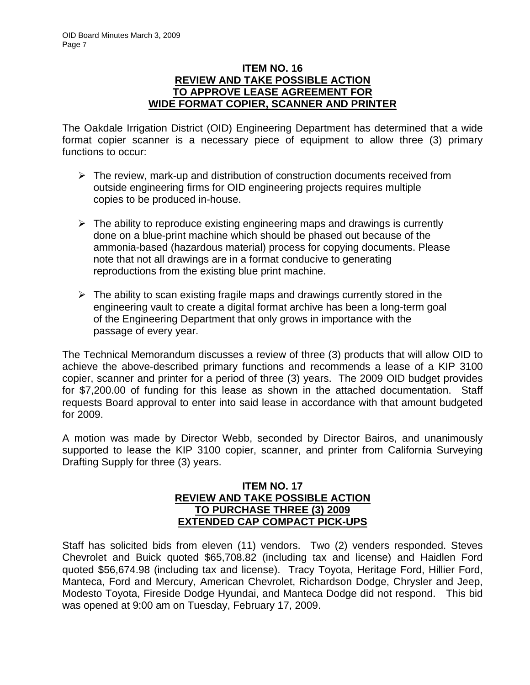## **ITEM NO. 16 REVIEW AND TAKE POSSIBLE ACTION TO APPROVE LEASE AGREEMENT FOR WIDE FORMAT COPIER, SCANNER AND PRINTER**

The Oakdale Irrigation District (OID) Engineering Department has determined that a wide format copier scanner is a necessary piece of equipment to allow three (3) primary functions to occur:

- $\triangleright$  The review, mark-up and distribution of construction documents received from outside engineering firms for OID engineering projects requires multiple copies to be produced in-house.
- $\triangleright$  The ability to reproduce existing engineering maps and drawings is currently done on a blue-print machine which should be phased out because of the ammonia-based (hazardous material) process for copying documents. Please note that not all drawings are in a format conducive to generating reproductions from the existing blue print machine.
- $\triangleright$  The ability to scan existing fragile maps and drawings currently stored in the engineering vault to create a digital format archive has been a long-term goal of the Engineering Department that only grows in importance with the passage of every year.

The Technical Memorandum discusses a review of three (3) products that will allow OID to achieve the above-described primary functions and recommends a lease of a KIP 3100 copier, scanner and printer for a period of three (3) years. The 2009 OID budget provides for \$7,200.00 of funding for this lease as shown in the attached documentation. Staff requests Board approval to enter into said lease in accordance with that amount budgeted for 2009.

A motion was made by Director Webb, seconded by Director Bairos, and unanimously supported to lease the KIP 3100 copier, scanner, and printer from California Surveying Drafting Supply for three (3) years.

#### **ITEM NO. 17 REVIEW AND TAKE POSSIBLE ACTION TO PURCHASE THREE (3) 2009 EXTENDED CAP COMPACT PICK-UPS**

Staff has solicited bids from eleven (11) vendors. Two (2) venders responded. Steves Chevrolet and Buick quoted \$65,708.82 (including tax and license) and Haidlen Ford quoted \$56,674.98 (including tax and license). Tracy Toyota, Heritage Ford, Hillier Ford, Manteca, Ford and Mercury, American Chevrolet, Richardson Dodge, Chrysler and Jeep, Modesto Toyota, Fireside Dodge Hyundai, and Manteca Dodge did not respond. This bid was opened at 9:00 am on Tuesday, February 17, 2009.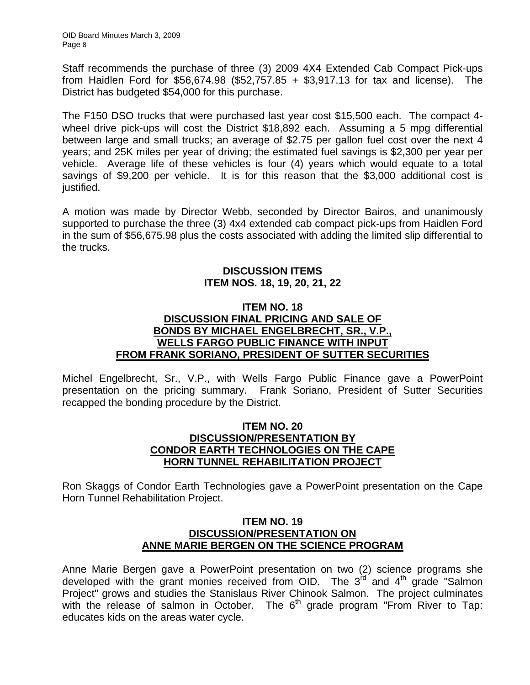Staff recommends the purchase of three (3) 2009 4X4 Extended Cab Compact Pick-ups from Haidlen Ford for \$56,674.98 (\$52,757.85 + \$3,917.13 for tax and license). The District has budgeted \$54,000 for this purchase.

The F150 DSO trucks that were purchased last year cost \$15,500 each. The compact 4 wheel drive pick-ups will cost the District \$18,892 each. Assuming a 5 mpg differential between large and small trucks; an average of \$2.75 per gallon fuel cost over the next 4 years; and 25K miles per year of driving; the estimated fuel savings is \$2,300 per year per vehicle. Average life of these vehicles is four (4) years which would equate to a total savings of \$9,200 per vehicle. It is for this reason that the \$3,000 additional cost is justified.

A motion was made by Director Webb, seconded by Director Bairos, and unanimously supported to purchase the three (3) 4x4 extended cab compact pick-ups from Haidlen Ford in the sum of \$56,675.98 plus the costs associated with adding the limited slip differential to the trucks.

## **DISCUSSION ITEMS ITEM NOS. 18, 19, 20, 21, 22**

## **ITEM NO. 18 DISCUSSION FINAL PRICING AND SALE OF BONDS BY MICHAEL ENGELBRECHT, SR., V.P., WELLS FARGO PUBLIC FINANCE WITH INPUT FROM FRANK SORIANO, PRESIDENT OF SUTTER SECURITIES**

Michel Engelbrecht, Sr., V.P., with Wells Fargo Public Finance gave a PowerPoint presentation on the pricing summary. Frank Soriano, President of Sutter Securities recapped the bonding procedure by the District.

#### **ITEM NO. 20 DISCUSSION/PRESENTATION BY CONDOR EARTH TECHNOLOGIES ON THE CAPE HORN TUNNEL REHABILITATION PROJECT**

Ron Skaggs of Condor Earth Technologies gave a PowerPoint presentation on the Cape Horn Tunnel Rehabilitation Project.

#### **ITEM NO. 19 DISCUSSION/PRESENTATION ON ANNE MARIE BERGEN ON THE SCIENCE PROGRAM**

Anne Marie Bergen gave a PowerPoint presentation on two (2) science programs she developed with the grant monies received from OID. The  $3<sup>rd</sup>$  and  $4<sup>th</sup>$  grade "Salmon Project" grows and studies the Stanislaus River Chinook Salmon. The project culminates with the release of salmon in October. The  $6<sup>th</sup>$  grade program "From River to Tap: educates kids on the areas water cycle.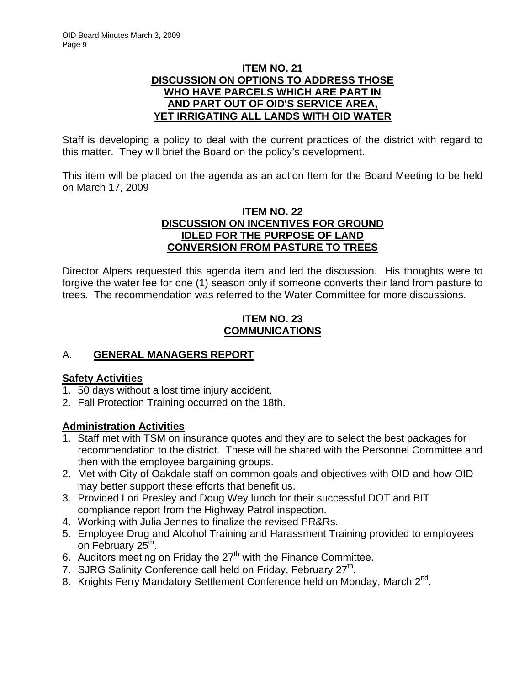## **ITEM NO. 21 DISCUSSION ON OPTIONS TO ADDRESS THOSE WHO HAVE PARCELS WHICH ARE PART IN AND PART OUT OF OID'S SERVICE AREA, YET IRRIGATING ALL LANDS WITH OID WATER**

Staff is developing a policy to deal with the current practices of the district with regard to this matter. They will brief the Board on the policy's development.

This item will be placed on the agenda as an action Item for the Board Meeting to be held on March 17, 2009

# **ITEM NO. 22 DISCUSSION ON INCENTIVES FOR GROUND IDLED FOR THE PURPOSE OF LAND CONVERSION FROM PASTURE TO TREES**

Director Alpers requested this agenda item and led the discussion. His thoughts were to forgive the water fee for one (1) season only if someone converts their land from pasture to trees. The recommendation was referred to the Water Committee for more discussions.

# **ITEM NO. 23 COMMUNICATIONS**

# A. **GENERAL MANAGERS REPORT**

# **Safety Activities**

- 1. 50 days without a lost time injury accident.
- 2. Fall Protection Training occurred on the 18th.

# **Administration Activities**

- 1. Staff met with TSM on insurance quotes and they are to select the best packages for recommendation to the district. These will be shared with the Personnel Committee and then with the employee bargaining groups.
- 2. Met with City of Oakdale staff on common goals and objectives with OID and how OID may better support these efforts that benefit us.
- 3. Provided Lori Presley and Doug Wey lunch for their successful DOT and BIT compliance report from the Highway Patrol inspection.
- 4. Working with Julia Jennes to finalize the revised PR&Rs.
- 5. Employee Drug and Alcohol Training and Harassment Training provided to employees on February 25<sup>th</sup>.
- 6. Auditors meeting on Friday the  $27<sup>th</sup>$  with the Finance Committee.
- 7. SJRG Salinity Conference call held on Friday, February  $27<sup>th</sup>$ .
- 8. Knights Ferry Mandatory Settlement Conference held on Monday, March 2<sup>nd</sup>.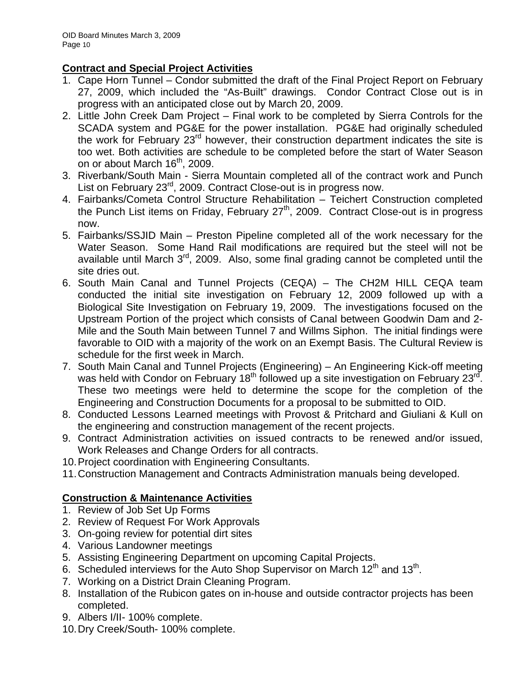# **Contract and Special Project Activities**

- 1. Cape Horn Tunnel Condor submitted the draft of the Final Project Report on February 27, 2009, which included the "As-Built" drawings. Condor Contract Close out is in progress with an anticipated close out by March 20, 2009.
- 2. Little John Creek Dam Project Final work to be completed by Sierra Controls for the SCADA system and PG&E for the power installation. PG&E had originally scheduled the work for February 23<sup>rd</sup> however, their construction department indicates the site is too wet. Both activities are schedule to be completed before the start of Water Season on or about March  $16<sup>th</sup>$ , 2009.
- 3. Riverbank/South Main Sierra Mountain completed all of the contract work and Punch List on February 23<sup>rd</sup>, 2009. Contract Close-out is in progress now.
- 4. Fairbanks/Cometa Control Structure Rehabilitation Teichert Construction completed the Punch List items on Friday, February  $27<sup>th</sup>$ , 2009. Contract Close-out is in progress now.
- 5. Fairbanks/SSJID Main Preston Pipeline completed all of the work necessary for the Water Season. Some Hand Rail modifications are required but the steel will not be available until March  $3<sup>rd</sup>$ , 2009. Also, some final grading cannot be completed until the site dries out.
- 6. South Main Canal and Tunnel Projects (CEQA) The CH2M HILL CEQA team conducted the initial site investigation on February 12, 2009 followed up with a Biological Site Investigation on February 19, 2009. The investigations focused on the Upstream Portion of the project which consists of Canal between Goodwin Dam and 2- Mile and the South Main between Tunnel 7 and Willms Siphon. The initial findings were favorable to OID with a majority of the work on an Exempt Basis. The Cultural Review is schedule for the first week in March.
- 7. South Main Canal and Tunnel Projects (Engineering) An Engineering Kick-off meeting was held with Condor on February 18<sup>th</sup> followed up a site investigation on February 23<sup>rd</sup>. These two meetings were held to determine the scope for the completion of the Engineering and Construction Documents for a proposal to be submitted to OID.
- 8. Conducted Lessons Learned meetings with Provost & Pritchard and Giuliani & Kull on the engineering and construction management of the recent projects.
- 9. Contract Administration activities on issued contracts to be renewed and/or issued, Work Releases and Change Orders for all contracts.
- 10. Project coordination with Engineering Consultants.
- 11. Construction Management and Contracts Administration manuals being developed.

# **Construction & Maintenance Activities**

- 1. Review of Job Set Up Forms
- 2. Review of Request For Work Approvals
- 3. On-going review for potential dirt sites
- 4. Various Landowner meetings
- 5. Assisting Engineering Department on upcoming Capital Projects.
- 6. Scheduled interviews for the Auto Shop Supervisor on March  $12<sup>th</sup>$  and  $13<sup>th</sup>$ .
- 7. Working on a District Drain Cleaning Program.
- 8. Installation of the Rubicon gates on in-house and outside contractor projects has been completed.
- 9. Albers I/II- 100% complete.
- 10. Dry Creek/South- 100% complete.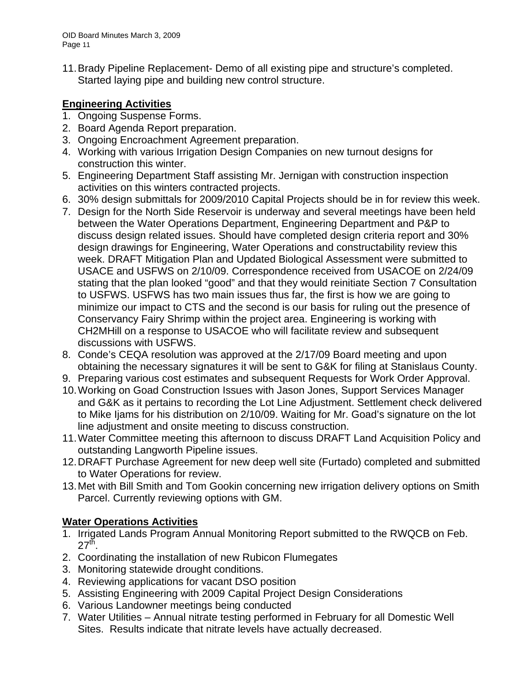11. Brady Pipeline Replacement- Demo of all existing pipe and structure's completed. Started laying pipe and building new control structure.

# **Engineering Activities**

- 1. Ongoing Suspense Forms.
- 2. Board Agenda Report preparation.
- 3. Ongoing Encroachment Agreement preparation.
- 4. Working with various Irrigation Design Companies on new turnout designs for construction this winter.
- 5. Engineering Department Staff assisting Mr. Jernigan with construction inspection activities on this winters contracted projects.
- 6. 30% design submittals for 2009/2010 Capital Projects should be in for review this week.
- 7. Design for the North Side Reservoir is underway and several meetings have been held between the Water Operations Department, Engineering Department and P&P to discuss design related issues. Should have completed design criteria report and 30% design drawings for Engineering, Water Operations and constructability review this week. DRAFT Mitigation Plan and Updated Biological Assessment were submitted to USACE and USFWS on 2/10/09. Correspondence received from USACOE on 2/24/09 stating that the plan looked "good" and that they would reinitiate Section 7 Consultation to USFWS. USFWS has two main issues thus far, the first is how we are going to minimize our impact to CTS and the second is our basis for ruling out the presence of Conservancy Fairy Shrimp within the project area. Engineering is working with CH2MHill on a response to USACOE who will facilitate review and subsequent discussions with USFWS.
- 8. Conde's CEQA resolution was approved at the 2/17/09 Board meeting and upon obtaining the necessary signatures it will be sent to G&K for filing at Stanislaus County.
- 9. Preparing various cost estimates and subsequent Requests for Work Order Approval.
- 10. Working on Goad Construction Issues with Jason Jones, Support Services Manager and G&K as it pertains to recording the Lot Line Adjustment. Settlement check delivered to Mike Ijams for his distribution on 2/10/09. Waiting for Mr. Goad's signature on the lot line adjustment and onsite meeting to discuss construction.
- 11. Water Committee meeting this afternoon to discuss DRAFT Land Acquisition Policy and outstanding Langworth Pipeline issues.
- 12. DRAFT Purchase Agreement for new deep well site (Furtado) completed and submitted to Water Operations for review.
- 13. Met with Bill Smith and Tom Gookin concerning new irrigation delivery options on Smith Parcel. Currently reviewing options with GM.

# **Water Operations Activities**

- 1. Irrigated Lands Program Annual Monitoring Report submitted to the RWQCB on Feb.  $27<sup>th</sup>$ .
- 2. Coordinating the installation of new Rubicon Flumegates
- 3. Monitoring statewide drought conditions.
- 4. Reviewing applications for vacant DSO position
- 5. Assisting Engineering with 2009 Capital Project Design Considerations
- 6. Various Landowner meetings being conducted
- 7. Water Utilities Annual nitrate testing performed in February for all Domestic Well Sites. Results indicate that nitrate levels have actually decreased.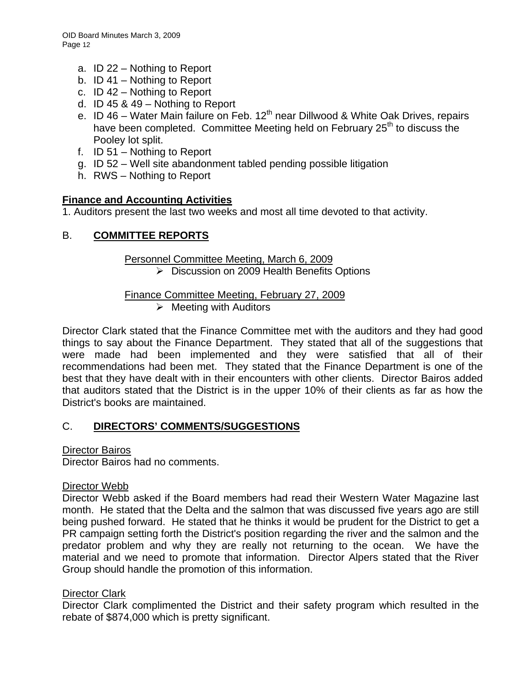- a. ID 22 Nothing to Report
- b. ID 41 Nothing to Report
- c. ID 42 Nothing to Report
- d. ID 45 & 49 Nothing to Report
- e. ID 46 Water Main failure on Feb. 12<sup>th</sup> near Dillwood & White Oak Drives. repairs have been completed. Committee Meeting held on February 25<sup>th</sup> to discuss the Pooley lot split.
- f. ID 51 Nothing to Report
- g. ID 52 Well site abandonment tabled pending possible litigation
- h. RWS Nothing to Report

# **Finance and Accounting Activities**

1. Auditors present the last two weeks and most all time devoted to that activity.

# B. **COMMITTEE REPORTS**

## Personnel Committee Meeting, March 6, 2009

¾ Discussion on 2009 Health Benefits Options

# Finance Committee Meeting, February 27, 2009

 $\triangleright$  Meeting with Auditors

Director Clark stated that the Finance Committee met with the auditors and they had good things to say about the Finance Department. They stated that all of the suggestions that were made had been implemented and they were satisfied that all of their recommendations had been met. They stated that the Finance Department is one of the best that they have dealt with in their encounters with other clients. Director Bairos added that auditors stated that the District is in the upper 10% of their clients as far as how the District's books are maintained.

# C. **DIRECTORS' COMMENTS/SUGGESTIONS**

## Director Bairos

Director Bairos had no comments.

## Director Webb

Director Webb asked if the Board members had read their Western Water Magazine last month. He stated that the Delta and the salmon that was discussed five years ago are still being pushed forward. He stated that he thinks it would be prudent for the District to get a PR campaign setting forth the District's position regarding the river and the salmon and the predator problem and why they are really not returning to the ocean. We have the material and we need to promote that information. Director Alpers stated that the River Group should handle the promotion of this information.

## Director Clark

Director Clark complimented the District and their safety program which resulted in the rebate of \$874,000 which is pretty significant.